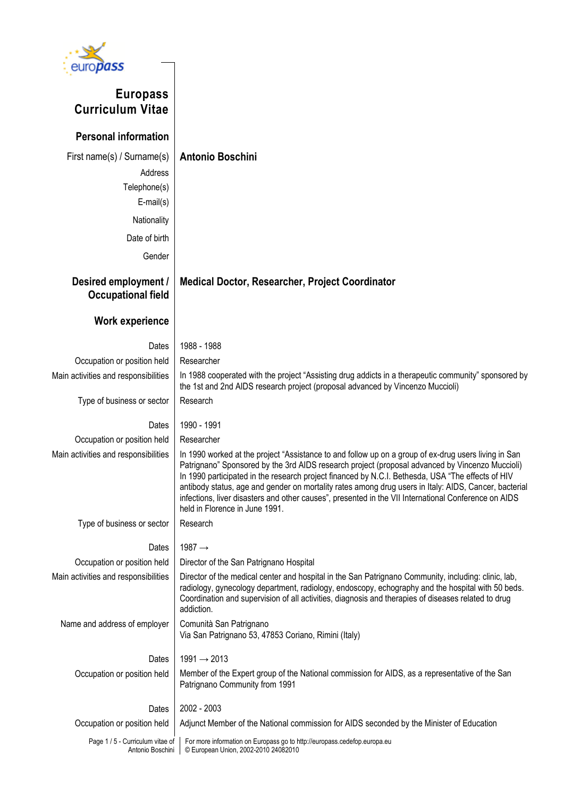

# **Europass Curriculum Vitae**

**Personal information**

| First name(s) / Surname(s)<br>Address<br>Telephone(s)<br>$E$ -mail $(s)$ | <b>Antonio Boschini</b>                                                                                                                                                                                                                                                                                                                                                                                                                                                                                                                                         |
|--------------------------------------------------------------------------|-----------------------------------------------------------------------------------------------------------------------------------------------------------------------------------------------------------------------------------------------------------------------------------------------------------------------------------------------------------------------------------------------------------------------------------------------------------------------------------------------------------------------------------------------------------------|
| Nationality                                                              |                                                                                                                                                                                                                                                                                                                                                                                                                                                                                                                                                                 |
| Date of birth                                                            |                                                                                                                                                                                                                                                                                                                                                                                                                                                                                                                                                                 |
| Gender                                                                   |                                                                                                                                                                                                                                                                                                                                                                                                                                                                                                                                                                 |
| Desired employment /<br><b>Occupational field</b>                        | <b>Medical Doctor, Researcher, Project Coordinator</b>                                                                                                                                                                                                                                                                                                                                                                                                                                                                                                          |
| <b>Work experience</b>                                                   |                                                                                                                                                                                                                                                                                                                                                                                                                                                                                                                                                                 |
| Dates                                                                    | 1988 - 1988                                                                                                                                                                                                                                                                                                                                                                                                                                                                                                                                                     |
| Occupation or position held                                              | Researcher                                                                                                                                                                                                                                                                                                                                                                                                                                                                                                                                                      |
| Main activities and responsibilities                                     | In 1988 cooperated with the project "Assisting drug addicts in a therapeutic community" sponsored by<br>the 1st and 2nd AIDS research project (proposal advanced by Vincenzo Muccioli)                                                                                                                                                                                                                                                                                                                                                                          |
| Type of business or sector                                               | Research                                                                                                                                                                                                                                                                                                                                                                                                                                                                                                                                                        |
| Dates                                                                    | 1990 - 1991                                                                                                                                                                                                                                                                                                                                                                                                                                                                                                                                                     |
| Occupation or position held                                              | Researcher                                                                                                                                                                                                                                                                                                                                                                                                                                                                                                                                                      |
| Main activities and responsibilities                                     | In 1990 worked at the project "Assistance to and follow up on a group of ex-drug users living in San<br>Patrignano" Sponsored by the 3rd AIDS research project (proposal advanced by Vincenzo Muccioli)<br>In 1990 participated in the research project financed by N.C.I. Bethesda, USA "The effects of HIV<br>antibody status, age and gender on mortality rates among drug users in Italy: AIDS, Cancer, bacterial<br>infections, liver disasters and other causes", presented in the VII International Conference on AIDS<br>held in Florence in June 1991. |
| Type of business or sector                                               | Research                                                                                                                                                                                                                                                                                                                                                                                                                                                                                                                                                        |
| Dates                                                                    | 1987 $\rightarrow$                                                                                                                                                                                                                                                                                                                                                                                                                                                                                                                                              |
| Occupation or position held                                              | Director of the San Patrignano Hospital                                                                                                                                                                                                                                                                                                                                                                                                                                                                                                                         |
| Main activities and responsibilities                                     | Director of the medical center and hospital in the San Patrignano Community, including: clinic, lab,<br>radiology, gynecology department, radiology, endoscopy, echography and the hospital with 50 beds.<br>Coordination and supervision of all activities, diagnosis and therapies of diseases related to drug<br>addiction.                                                                                                                                                                                                                                  |
| Name and address of employer                                             | Comunità San Patrignano<br>Via San Patrignano 53, 47853 Coriano, Rimini (Italy)                                                                                                                                                                                                                                                                                                                                                                                                                                                                                 |
| Dates                                                                    | $1991 \rightarrow 2013$                                                                                                                                                                                                                                                                                                                                                                                                                                                                                                                                         |
| Occupation or position held                                              | Member of the Expert group of the National commission for AIDS, as a representative of the San<br>Patrignano Community from 1991                                                                                                                                                                                                                                                                                                                                                                                                                                |
| Dates                                                                    | 2002 - 2003                                                                                                                                                                                                                                                                                                                                                                                                                                                                                                                                                     |
| Occupation or position held                                              | Adjunct Member of the National commission for AIDS seconded by the Minister of Education                                                                                                                                                                                                                                                                                                                                                                                                                                                                        |
| Page 1 / 5 - Curriculum vitae of<br>Antonio Boschini                     | For more information on Europass go to http://europass.cedefop.europa.eu<br>© European Union, 2002-2010 24082010                                                                                                                                                                                                                                                                                                                                                                                                                                                |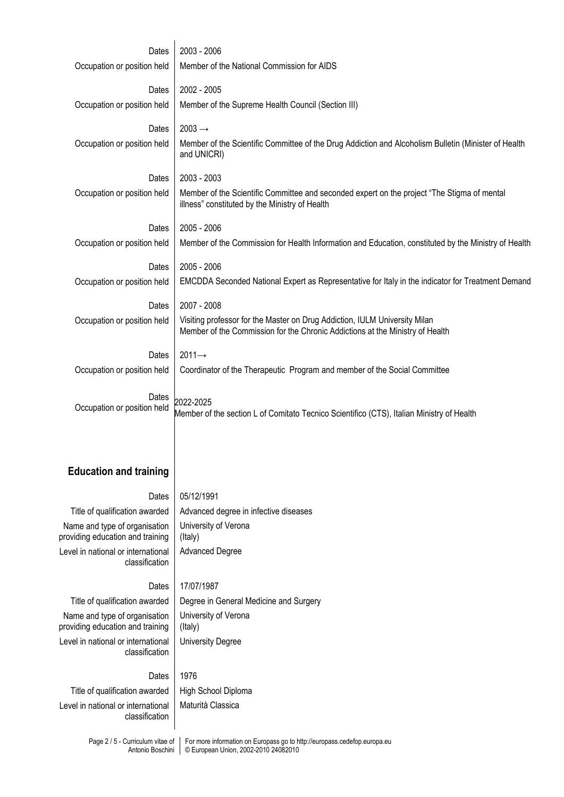| Dates<br>Occupation or position held                 | 2003 - 2006<br>Member of the National Commission for AIDS                                                                                     |
|------------------------------------------------------|-----------------------------------------------------------------------------------------------------------------------------------------------|
|                                                      |                                                                                                                                               |
| Dates                                                | 2002 - 2005                                                                                                                                   |
| Occupation or position held                          | Member of the Supreme Health Council (Section III)                                                                                            |
| Dates                                                | $2003 \rightarrow$                                                                                                                            |
| Occupation or position held                          | Member of the Scientific Committee of the Drug Addiction and Alcoholism Bulletin (Minister of Health<br>and UNICRI)                           |
| Dates                                                | 2003 - 2003                                                                                                                                   |
| Occupation or position held                          | Member of the Scientific Committee and seconded expert on the project "The Stigma of mental<br>illness" constituted by the Ministry of Health |
| Dates                                                | 2005 - 2006                                                                                                                                   |
| Occupation or position held                          | Member of the Commission for Health Information and Education, constituted by the Ministry of Health                                          |
| Dates                                                | 2005 - 2006                                                                                                                                   |
| Occupation or position held                          | EMCDDA Seconded National Expert as Representative for Italy in the indicator for Treatment Demand                                             |
|                                                      |                                                                                                                                               |
| Dates                                                | 2007 - 2008<br>Visiting professor for the Master on Drug Addiction, IULM University Milan                                                     |
| Occupation or position held                          | Member of the Commission for the Chronic Addictions at the Ministry of Health                                                                 |
| Dates                                                | $2011 \rightarrow$                                                                                                                            |
| Occupation or position held                          | Coordinator of the Therapeutic Program and member of the Social Committee                                                                     |
|                                                      |                                                                                                                                               |
| Dates<br>Occupation or position held                 | 2022-2025<br>Member of the section L of Comitato Tecnico Scientifico (CTS), Italian Ministry of Health                                        |
|                                                      |                                                                                                                                               |
|                                                      |                                                                                                                                               |
| <b>Education and training</b>                        |                                                                                                                                               |
| Dates                                                | 05/12/1991                                                                                                                                    |
| Title of qualification awarded                       | Advanced degree in infective diseases                                                                                                         |
| Name and type of organisation                        | University of Verona                                                                                                                          |
| providing education and training                     | (Italy)                                                                                                                                       |
| Level in national or international<br>classification | <b>Advanced Degree</b>                                                                                                                        |

## Dates 17/07/1987

Name and type of organisation providing education and training Level in national or international classification

Title of qualification awarded | Degree in General Medicine and Surgery University of Verona (Italy) University Degree

#### Dates 1976

Title of qualification awarded | High School Diploma Level in national or international classification

Maturità Classica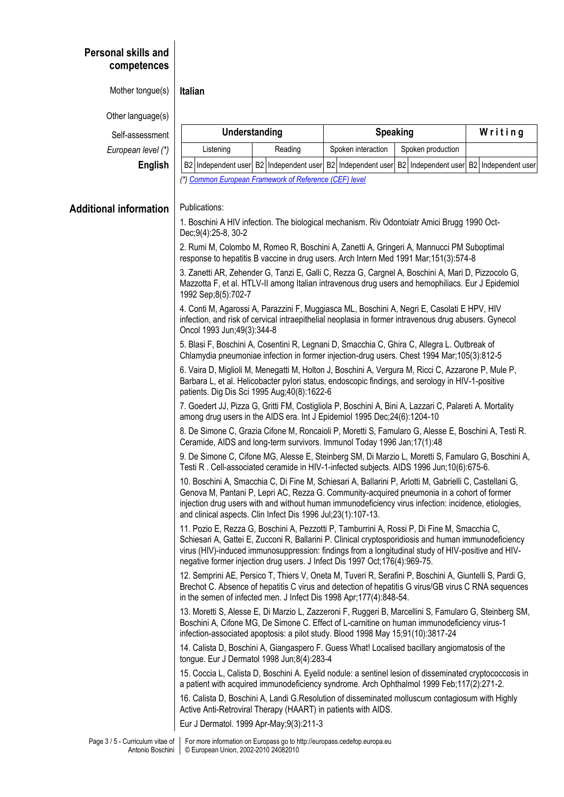# **Personal skills and competences**

Mother tongue(s) **Italian**

Other language(s)

 $Self-assessmen$ 

*European level (\** 

| iessment    | Understanding |                                                                                                     |  |         |  | <b>Speaking</b>    |  |                   |  | Writing |  |
|-------------|---------------|-----------------------------------------------------------------------------------------------------|--|---------|--|--------------------|--|-------------------|--|---------|--|
| n level (*) | Listening     |                                                                                                     |  | Reading |  | Spoken interaction |  | Spoken production |  |         |  |
| English     |               | B2 Independent user B2 Independent user B2 Independent user B2 Independent user B2 Independent user |  |         |  |                    |  |                   |  |         |  |
|             |               | (*) Common European Framework of Reference (CEF) level                                              |  |         |  |                    |  |                   |  |         |  |

### **Additional**

| information | Publications:                                                                                                                                                                                                                                                                                                                                                                             |
|-------------|-------------------------------------------------------------------------------------------------------------------------------------------------------------------------------------------------------------------------------------------------------------------------------------------------------------------------------------------------------------------------------------------|
|             | 1. Boschini A HIV infection. The biological mechanism. Riv Odontoiatr Amici Brugg 1990 Oct-<br>Dec;9(4):25-8, 30-2                                                                                                                                                                                                                                                                        |
|             | 2. Rumi M, Colombo M, Romeo R, Boschini A, Zanetti A, Gringeri A, Mannucci PM Suboptimal<br>response to hepatitis B vaccine in drug users. Arch Intern Med 1991 Mar; 151(3):574-8                                                                                                                                                                                                         |
|             | 3. Zanetti AR, Zehender G, Tanzi E, Galli C, Rezza G, Cargnel A, Boschini A, Mari D, Pizzocolo G,<br>Mazzotta F, et al. HTLV-II among Italian intravenous drug users and hemophiliacs. Eur J Epidemiol<br>1992 Sep;8(5):702-7                                                                                                                                                             |
|             | 4. Conti M, Agarossi A, Parazzini F, Muggiasca ML, Boschini A, Negri E, Casolati E HPV, HIV<br>infection, and risk of cervical intraepithelial neoplasia in former intravenous drug abusers. Gynecol<br>Oncol 1993 Jun; 49(3): 344-8                                                                                                                                                      |
|             | 5. Blasi F, Boschini A, Cosentini R, Legnani D, Smacchia C, Ghira C, Allegra L. Outbreak of<br>Chlamydia pneumoniae infection in former injection-drug users. Chest 1994 Mar; 105(3):812-5                                                                                                                                                                                                |
|             | 6. Vaira D, Miglioli M, Menegatti M, Holton J, Boschini A, Vergura M, Ricci C, Azzarone P, Mule P,<br>Barbara L, et al. Helicobacter pylori status, endoscopic findings, and serology in HIV-1-positive<br>patients. Dig Dis Sci 1995 Aug; 40(8): 1622-6                                                                                                                                  |
|             | 7. Goedert JJ, Pizza G, Gritti FM, Costigliola P, Boschini A, Bini A, Lazzari C, Palareti A. Mortality<br>among drug users in the AIDS era. Int J Epidemiol 1995 Dec; 24(6): 1204-10                                                                                                                                                                                                      |
|             | 8. De Simone C, Grazia Cifone M, Roncaioli P, Moretti S, Famularo G, Alesse E, Boschini A, Testi R.<br>Ceramide, AIDS and long-term survivors. Immunol Today 1996 Jan; 17(1):48                                                                                                                                                                                                           |
|             | 9. De Simone C, Cifone MG, Alesse E, Steinberg SM, Di Marzio L, Moretti S, Famularo G, Boschini A,<br>Testi R. Cell-associated ceramide in HIV-1-infected subjects. AIDS 1996 Jun;10(6):675-6.                                                                                                                                                                                            |
|             | 10. Boschini A, Smacchia C, Di Fine M, Schiesari A, Ballarini P, Arlotti M, Gabrielli C, Castellani G,<br>Genova M, Pantani P, Lepri AC, Rezza G. Community-acquired pneumonia in a cohort of former<br>injection drug users with and without human immunodeficiency virus infection: incidence, etiologies,<br>and clinical aspects. Clin Infect Dis 1996 Jul;23(1):107-13.              |
|             | 11. Pozio E, Rezza G, Boschini A, Pezzotti P, Tamburrini A, Rossi P, Di Fine M, Smacchia C,<br>Schiesari A, Gattei E, Zucconi R, Ballarini P. Clinical cryptosporidiosis and human immunodeficiency<br>virus (HIV)-induced immunosuppression: findings from a longitudinal study of HIV-positive and HIV-<br>negative former injection drug users. J Infect Dis 1997 Oct; 176(4): 969-75. |
|             | 12. Semprini AE, Persico T, Thiers V, Oneta M, Tuveri R, Serafini P, Boschini A, Giuntelli S, Pardi G,<br>Brechot C. Absence of hepatitis C virus and detection of hepatitis G virus/GB virus C RNA sequences<br>in the semen of infected men. J Infect Dis 1998 Apr; 177(4): 848-54.                                                                                                     |
|             | 13. Moretti S, Alesse E, Di Marzio L, Zazzeroni F, Ruggeri B, Marcellini S, Famularo G, Steinberg SM,<br>Boschini A, Cifone MG, De Simone C. Effect of L-carnitine on human immunodeficiency virus-1<br>infection-associated apoptosis: a pilot study. Blood 1998 May 15;91(10):3817-24                                                                                                   |
|             | 14. Calista D, Boschini A, Giangaspero F. Guess What! Localised bacillary angiomatosis of the<br>tongue. Eur J Dermatol 1998 Jun;8(4):283-4                                                                                                                                                                                                                                               |
|             | 15. Coccia L, Calista D, Boschini A. Eyelid nodule: a sentinel lesion of disseminated cryptococcosis in<br>a patient with acquired immunodeficiency syndrome. Arch Ophthalmol 1999 Feb; 117(2):271-2.                                                                                                                                                                                     |
|             | 16. Calista D, Boschini A, Landi G.Resolution of disseminated molluscum contagiosum with Highly<br>Active Anti-Retroviral Therapy (HAART) in patients with AIDS.                                                                                                                                                                                                                          |
|             | Eur J Dermatol. 1999 Apr-May;9(3):211-3                                                                                                                                                                                                                                                                                                                                                   |
|             |                                                                                                                                                                                                                                                                                                                                                                                           |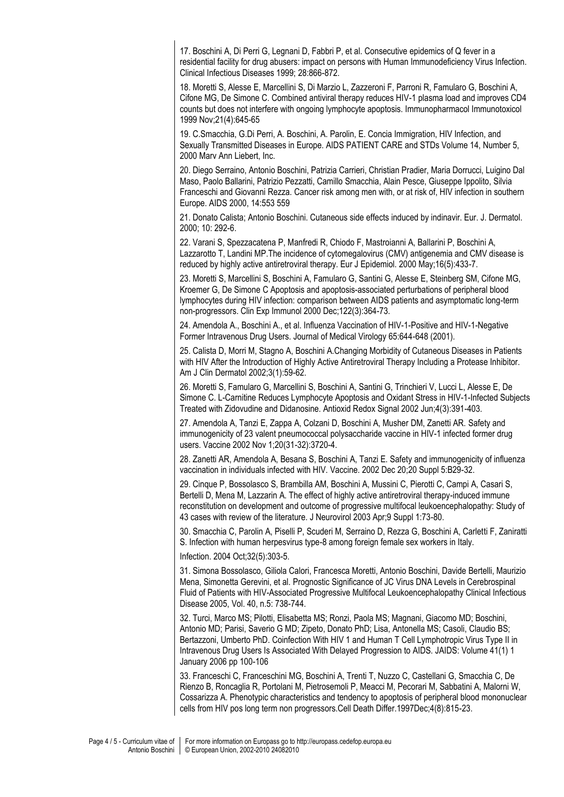17. Boschini A, Di Perri G, Legnani D, Fabbri P, et al. Consecutive epidemics of Q fever in a residential facility for drug abusers: impact on persons with Human Immunodeficiency Virus Infection. Clinical Infectious Diseases 1999; 28:866-872.

18. Moretti S, Alesse E, Marcellini S, Di Marzio L, Zazzeroni F, Parroni R, Famularo G, Boschini A, Cifone MG, De Simone C. Combined antiviral therapy reduces HIV-1 plasma load and improves CD4 counts but does not interfere with ongoing lymphocyte apoptosis. Immunopharmacol Immunotoxicol 1999 Nov;21(4):645-65

19. C.Smacchia, G.Di Perri, A. Boschini, A. Parolin, E. Concia Immigration, HIV Infection, and Sexually Transmitted Diseases in Europe. AIDS PATIENT CARE and STDs Volume 14, Number 5, 2000 Marv Ann Liebert, Inc.

20. Diego Serraino, Antonio Boschini, Patrizia Carrieri, Christian Pradier, Maria Dorrucci, Luigino Dal Maso, Paolo Ballarini, Patrizio Pezzatti, Camillo Smacchia, Alain Pesce, Giuseppe Ippolito, Silvia Franceschi and Giovanni Rezza. Cancer risk among men with, or at risk of, HIV infection in southern Europe. AIDS 2000, 14:553 559

21. Donato Calista; Antonio Boschini. Cutaneous side effects induced by indinavir. Eur. J. Dermatol. 2000; 10: 292-6.

22. Varani S, Spezzacatena P, Manfredi R, Chiodo F, Mastroianni A, Ballarini P, Boschini A, Lazzarotto T, Landini MP.The incidence of cytomegalovirus (CMV) antigenemia and CMV disease is reduced by highly active antiretroviral therapy. Eur J Epidemiol. 2000 May;16(5):433-7.

23. Moretti S, Marcellini S, Boschini A, Famularo G, Santini G, Alesse E, Steinberg SM, Cifone MG, Kroemer G, De Simone C Apoptosis and apoptosis-associated perturbations of peripheral blood lymphocytes during HIV infection: comparison between AIDS patients and asymptomatic long-term non-progressors. Clin Exp Immunol 2000 Dec;122(3):364-73.

24. Amendola A., Boschini A., et al. Influenza Vaccination of HIV-1-Positive and HIV-1-Negative Former Intravenous Drug Users. Journal of Medical Virology 65:644-648 (2001).

25. Calista D, Morri M, Stagno A, Boschini A.Changing Morbidity of Cutaneous Diseases in Patients with HIV After the Introduction of Highly Active Antiretroviral Therapy Including a Protease Inhibitor. Am J Clin Dermatol 2002;3(1):59-62.

26. Moretti S, Famularo G, Marcellini S, Boschini A, Santini G, Trinchieri V, Lucci L, Alesse E, De Simone C. L-Carnitine Reduces Lymphocyte Apoptosis and Oxidant Stress in HIV-1-Infected Subjects Treated with Zidovudine and Didanosine. Antioxid Redox Signal 2002 Jun;4(3):391-403.

27. Amendola A, Tanzi E, Zappa A, Colzani D, Boschini A, Musher DM, Zanetti AR. Safety and immunogenicity of 23 valent pneumococcal polysaccharide vaccine in HIV-1 infected former drug users. Vaccine 2002 Nov 1;20(31-32):3720-4.

28. Zanetti AR, Amendola A, Besana S, Boschini A, Tanzi E. Safety and immunogenicity of influenza vaccination in individuals infected with HIV. Vaccine. 2002 Dec 20;20 Suppl 5:B29-32.

29. Cinque P, Bossolasco S, Brambilla AM, Boschini A, Mussini C, Pierotti C, Campi A, Casari S, Bertelli D, Mena M, Lazzarin A. The effect of highly active antiretroviral therapy-induced immune reconstitution on development and outcome of progressive multifocal leukoencephalopathy: Study of 43 cases with review of the literature. J Neurovirol 2003 Apr;9 Suppl 1:73-80.

30. Smacchia C, Parolin A, Piselli P, Scuderi M, Serraino D, Rezza G, Boschini A, Carletti F, Zaniratti S. Infection with human herpesvirus type-8 among foreign female sex workers in Italy.

Infection. 2004 Oct;32(5):303-5.

31. Simona Bossolasco, Giliola Calori, Francesca Moretti, Antonio Boschini, Davide Bertelli, Maurizio Mena, Simonetta Gerevini, et al. Prognostic Significance of JC Virus DNA Levels in Cerebrospinal Fluid of Patients with HIV-Associated Progressive Multifocal Leukoencephalopathy Clinical Infectious Disease 2005, Vol. 40, n.5: 738-744.

32. Turci, Marco MS; Pilotti, Elisabetta MS; Ronzi, Paola MS; Magnani, Giacomo MD; Boschini, Antonio MD; Parisi, Saverio G MD; Zipeto, Donato PhD; Lisa, Antonella MS; Casoli, Claudio BS; Bertazzoni, Umberto PhD. Coinfection With HIV 1 and Human T Cell Lymphotropic Virus Type II in Intravenous Drug Users Is Associated With Delayed Progression to AIDS. JAIDS: Volume 41(1) 1 January 2006 pp 100-106

33. Franceschi C, Franceschini MG, Boschini A, Trenti T, Nuzzo C, Castellani G, Smacchia C, De Rienzo B, Roncaglia R, Portolani M, Pietrosemoli P, Meacci M, Pecorari M, Sabbatini A, Malorni W, Cossarizza A. Phenotypic characteristics and tendency to apoptosis of peripheral blood mononuclear cells from HIV pos long term non progressors.Cell Death Differ.1997Dec;4(8):815-23.